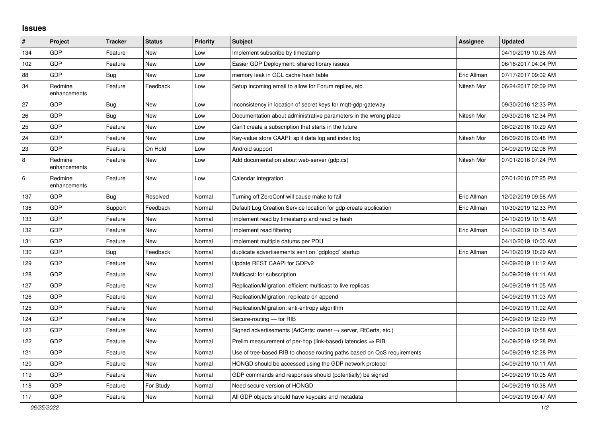## **Issues**

| #   | Project                 | <b>Tracker</b> | <b>Status</b> | <b>Priority</b> | <b>Subject</b>                                                          | Assignee    | <b>Updated</b>      |
|-----|-------------------------|----------------|---------------|-----------------|-------------------------------------------------------------------------|-------------|---------------------|
| 134 | GDP                     | Feature        | <b>New</b>    | Low             | Implement subscribe by timestamp                                        |             | 04/10/2019 10:26 AM |
| 102 | <b>GDP</b>              | Feature        | <b>New</b>    | Low             | Easier GDP Deployment: shared library issues                            |             | 06/16/2017 04:04 PM |
| 88  | <b>GDP</b>              | Bug            | <b>New</b>    | Low             | memory leak in GCL cache hash table                                     | Eric Allman | 07/17/2017 09:02 AM |
| 34  | Redmine<br>enhancements | Feature        | Feedback      | Low             | Setup incoming email to allow for Forum replies, etc.                   | Nitesh Mor  | 06/24/2017 02:09 PM |
| 27  | <b>GDP</b>              | <b>Bug</b>     | <b>New</b>    | Low             | Inconsistency in location of secret keys for mgtt-gdp-gateway           |             | 09/30/2016 12:33 PM |
| 26  | GDP                     | <b>Bug</b>     | <b>New</b>    | Low             | Documentation about administrative parameters in the wrong place        | Nitesh Mor  | 09/30/2016 12:34 PM |
| 25  | GDP                     | Feature        | <b>New</b>    | Low             | Can't create a subscription that starts in the future                   |             | 08/02/2016 10:29 AM |
| 24  | <b>GDP</b>              | Feature        | <b>New</b>    | Low             | Key-value store CAAPI: split data log and index log                     | Nitesh Mor  | 08/09/2016 03:48 PM |
| 23  | <b>GDP</b>              | Feature        | On Hold       | Low             | Android support                                                         |             | 04/09/2019 02:06 PM |
| 8   | Redmine<br>enhancements | Feature        | New           | Low             | Add documentation about web-server (gdp.cs)                             | Nitesh Mor  | 07/01/2016 07:24 PM |
| 6   | Redmine<br>enhancements | Feature        | <b>New</b>    | Low             | Calendar integration                                                    |             | 07/01/2016 07:25 PM |
| 137 | <b>GDP</b>              | <b>Bug</b>     | Resolved      | Normal          | Turning off ZeroConf will cause make to fail                            | Eric Allman | 12/02/2019 09:58 AM |
| 136 | GDP                     | Support        | Feedback      | Normal          | Default Log Creation Service location for gdp-create application        | Eric Allman | 10/30/2019 12:33 PM |
| 133 | <b>GDP</b>              | Feature        | <b>New</b>    | Normal          | Implement read by timestamp and read by hash                            |             | 04/10/2019 10:18 AM |
| 132 | GDP                     | Feature        | New           | Normal          | Implement read filtering                                                | Eric Allman | 04/10/2019 10:15 AM |
| 131 | GDP                     | Feature        | New           | Normal          | Implement multiple datums per PDU                                       |             | 04/10/2019 10:00 AM |
| 130 | GDP                     | Bug            | Feedback      | Normal          | duplicate advertisements sent on `gdplogd` startup                      | Eric Allman | 04/10/2019 10:29 AM |
| 129 | GDP                     | Feature        | <b>New</b>    | Normal          | Update REST CAAPI for GDPv2                                             |             | 04/09/2019 11:12 AM |
| 128 | GDP                     | Feature        | <b>New</b>    | Normal          | Multicast: for subscription                                             |             | 04/09/2019 11:11 AM |
| 127 | <b>GDP</b>              | Feature        | <b>New</b>    | Normal          | Replication/Migration: efficient multicast to live replicas             |             | 04/09/2019 11:05 AM |
| 126 | <b>GDP</b>              | Feature        | New           | Normal          | Replication/Migration: replicate on append                              |             | 04/09/2019 11:03 AM |
| 125 | <b>GDP</b>              | Feature        | <b>New</b>    | Normal          | Replication/Migration: anti-entropy algorithm                           |             | 04/09/2019 11:02 AM |
| 124 | <b>GDP</b>              | Feature        | <b>New</b>    | Normal          | Secure-routing - for RIB                                                |             | 04/09/2019 12:29 PM |
| 123 | GDP                     | Feature        | New           | Normal          | Signed advertisements (AdCerts: owner → server, RtCerts, etc.)          |             | 04/09/2019 10:58 AM |
| 122 | GDP                     | Feature        | <b>New</b>    | Normal          | Prelim measurement of per-hop (link-based) latencies $\Rightarrow$ RIB  |             | 04/09/2019 12:28 PM |
| 121 | GDP                     | Feature        | New           | Normal          | Use of tree-based RIB to choose routing paths based on QoS requirements |             | 04/09/2019 12:28 PM |
| 120 | GDP                     | Feature        | <b>New</b>    | Normal          | HONGD should be accessed using the GDP network protocol                 |             | 04/09/2019 10:11 AM |
| 119 | GDP                     | Feature        | New           | Normal          | GDP commands and responses should (potentially) be signed               |             | 04/09/2019 10:05 AM |
| 118 | GDP                     | Feature        | For Study     | Normal          | Need secure version of HONGD                                            |             | 04/09/2019 10:38 AM |
| 117 | <b>GDP</b>              | Feature        | <b>New</b>    | Normal          | All GDP objects should have keypairs and metadata                       |             | 04/09/2019 09:47 AM |